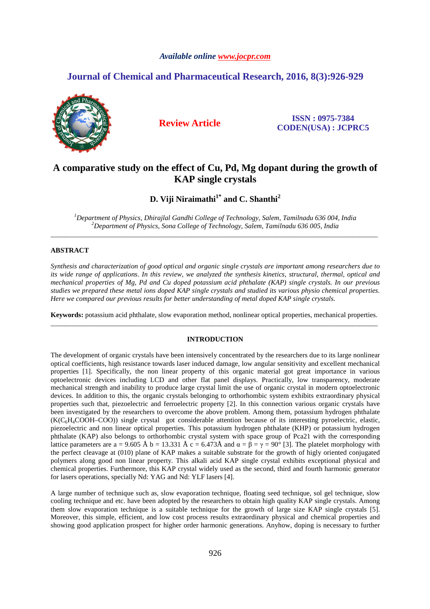# *Available online www.jocpr.com*

# **Journal of Chemical and Pharmaceutical Research, 2016, 8(3):926-929**



**Review Article ISSN : 0975-7384 CODEN(USA) : JCPRC5**

# **A comparative study on the effect of Cu, Pd, Mg dopant during the growth of KAP single crystals**

**D. Viji Niraimathi1\* and C. Shanthi<sup>2</sup>**

*<sup>1</sup>Department of Physics, Dhirajlal Gandhi College of Technology, Salem, Tamilnadu 636 004, India <sup>2</sup>Department of Physics, Sona College of Technology, Salem, Tamilnadu 636 005, India*  \_\_\_\_\_\_\_\_\_\_\_\_\_\_\_\_\_\_\_\_\_\_\_\_\_\_\_\_\_\_\_\_\_\_\_\_\_\_\_\_\_\_\_\_\_\_\_\_\_\_\_\_\_\_\_\_\_\_\_\_\_\_\_\_\_\_\_\_\_\_\_\_\_\_\_\_\_\_\_\_\_\_\_\_\_\_\_\_\_\_\_\_\_

# **ABSTRACT**

*Synthesis and characterization of good optical and organic single crystals are important among researchers due to its wide range of applications. In this review, we analyzed the synthesis kinetics, structural, thermal, optical and mechanical properties of Mg, Pd and Cu doped potassium acid phthalate (KAP) single crystals. In our previous studies we prepared these metal ions doped KAP single crystals and studied its various physio chemical properties. Here we compared our previous results for better understanding of metal doped KAP single crystals.* 

**Keywords:** potassium acid phthalate, slow evaporation method, nonlinear optical properties, mechanical properties. \_\_\_\_\_\_\_\_\_\_\_\_\_\_\_\_\_\_\_\_\_\_\_\_\_\_\_\_\_\_\_\_\_\_\_\_\_\_\_\_\_\_\_\_\_\_\_\_\_\_\_\_\_\_\_\_\_\_\_\_\_\_\_\_\_\_\_\_\_\_\_\_\_\_\_\_\_\_\_\_\_\_\_\_\_\_\_\_\_\_\_\_\_

## **INTRODUCTION**

The development of organic crystals have been intensively concentrated by the researchers due to its large nonlinear optical coefficients, high resistance towards laser induced damage, low angular sensitivity and excellent mechanical properties [1]. Specifically, the non linear property of this organic material got great importance in various optoelectronic devices including LCD and other flat panel displays. Practically, low transparency, moderate mechanical strength and inability to produce large crystal limit the use of organic crystal in modern optoelectronic devices. In addition to this, the organic crystals belonging to orthorhombic system exhibits extraordinary physical properties such that, piezoelectric and ferroelectric property [2]. In this connection various organic crystals have been investigated by the researchers to overcome the above problem. Among them, potassium hydrogen phthalate  $(K(C<sub>6</sub>H<sub>4</sub>COOH–COO))$  single crystal got considerable attention because of its interesting pyroelectric, elastic, piezoelectric and non linear optical properties. This potassium hydrogen phthalate (KHP) or potassium hydrogen phthalate (KAP) also belongs to orthorhombic crystal system with space group of Pca21 with the corresponding lattice parameters are a = 9.605 Å b = 13.331 Å c = 6.473Å and  $\alpha = \beta = \gamma = 90^{\circ}$  [3]. The platelet morphology with the perfect cleavage at (010) plane of KAP makes a suitable substrate for the growth of higly oriented conjugated polymers along good non linear property. This alkali acid KAP single crystal exhibits exceptional physical and chemical properties. Furthermore, this KAP crystal widely used as the second, third and fourth harmonic generator for lasers operations, specially Nd: YAG and Nd: YLF lasers [4].

A large number of technique such as, slow evaporation technique, floating seed technique, sol gel technique, slow cooling technique and etc. have been adopted by the researchers to obtain high quality KAP single crystals. Among them slow evaporation technique is a suitable technique for the growth of large size KAP single crystals [5]. Moreover, this simple, efficient, and low cost process results extraordinary physical and chemical properties and showing good application prospect for higher order harmonic generations. Anyhow, doping is necessary to further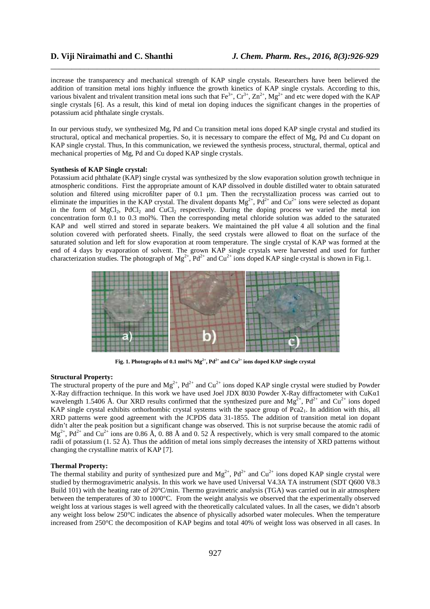increase the transparency and mechanical strength of KAP single crystals. Researchers have been believed the addition of transition metal ions highly influence the growth kinetics of KAP single crystals. According to this, various bivalent and trivalent transition metal ions such that  $Fe^{3+}$ ,  $Cr^{3+}$ ,  $Zn^{2+}$ ,  $Mg^{2+}$  and etc were doped with the KAP single crystals [6]. As a result, this kind of metal ion doping induces the significant changes in the properties of potassium acid phthalate single crystals.

\_\_\_\_\_\_\_\_\_\_\_\_\_\_\_\_\_\_\_\_\_\_\_\_\_\_\_\_\_\_\_\_\_\_\_\_\_\_\_\_\_\_\_\_\_\_\_\_\_\_\_\_\_\_\_\_\_\_\_\_\_\_\_\_\_\_\_\_\_\_\_\_\_\_\_\_\_\_

In our pervious study, we synthesized Mg, Pd and Cu transition metal ions doped KAP single crystal and studied its structural, optical and mechanical properties. So, it is necessary to compare the effect of Mg, Pd and Cu dopant on KAP single crystal. Thus, In this communication, we reviewed the synthesis process, structural, thermal, optical and mechanical properties of Mg, Pd and Cu doped KAP single crystals.

# **Synthesis of KAP Single crystal:**

Potassium acid phthalate (KAP) single crystal was synthesized by the slow evaporation solution growth technique in atmospheric conditions. First the appropriate amount of KAP dissolved in double distilled water to obtain saturated solution and filtered using microfilter paper of 0.1 µm. Then the recrystallization process was carried out to eliminate the impurities in the KAP crystal. The divalent dopants  $Mg^{2+}$ ,  $Pd^{2+}$  and  $Cu^{2+}$  ions were selected as dopant in the form of MgCl<sub>2</sub>, PdCl<sub>2</sub> and CuCl<sub>2</sub> respectively. During the doping process we varied the metal ion concentration form 0.1 to 0.3 mol%. Then the corresponding metal chloride solution was added to the saturated KAP and well stirred and stored in separate beakers. We maintained the pH value 4 all solution and the final solution covered with perforated sheets. Finally, the seed crystals were allowed to float on the surface of the saturated solution and left for slow evaporation at room temperature. The single crystal of KAP was formed at the end of 4 days by evaporation of solvent. The grown KAP single crystals were harvested and used for further characterization studies. The photograph of  $Mg^{2+}$ ,  $Pd^{2+}$  and  $Cu^{2+}$  ions doped KAP single crystal is shown in Fig.1.



**Fig. 1. Photographs of 0.1 mol% Mg2+, Pd2+ and Cu2+ ions doped KAP single crystal** 

#### **Structural Property:**

The structural property of the pure and  $Mg^{2+}$ ,  $Pd^{2+}$  and  $Cu^{2+}$  ions doped KAP single crystal were studied by Powder X-Ray diffraction technique. In this work we have used Joel JDX 8030 Powder X-Ray diffractometer with CuKα1 wavelength 1.5406 Å. Our XRD results confirmed that the synthesized pure and  $Mg^{\tilde{2}+}$ , Pd<sup>2+</sup> and Cu<sup>2+</sup> ions doped KAP single crystal exhibits orthorhombic crystal systems with the space group of  $Pca2<sub>1</sub>$ . In addition with this, all XRD patterns were good agreement with the JCPDS data 31-1855. The addition of transition metal ion dopant didn't alter the peak position but a significant change was observed. This is not surprise because the atomic radii of  $Mg^{2+}$ , Pd<sup>2+</sup> and Cu<sup>2+</sup> ions are 0.86 Å, 0.88 Å and 0.52 Å respectively, which is very small compared to the atomic radii of potassium (1. 52 Å). Thus the addition of metal ions simply decreases the intensity of XRD patterns without changing the crystalline matrix of KAP [7].

#### **Thermal Property:**

The thermal stability and purity of synthesized pure and  $Mg^{2+}$ ,  $Pd^{2+}$  and  $Cu^{2+}$  ions doped KAP single crystal were studied by thermogravimetric analysis. In this work we have used Universal V4.3A TA instrument (SDT Q600 V8.3 Build 101) with the heating rate of 20°C/min. Thermo gravimetric analysis (TGA) was carried out in air atmosphere between the temperatures of 30 to 1000°C. From the weight analysis we observed that the experimentally observed weight loss at various stages is well agreed with the theoretically calculated values. In all the cases, we didn't absorb any weight loss below 250°C indicates the absence of physically adsorbed water molecules. When the temperature increased from 250°C the decomposition of KAP begins and total 40% of weight loss was observed in all cases. In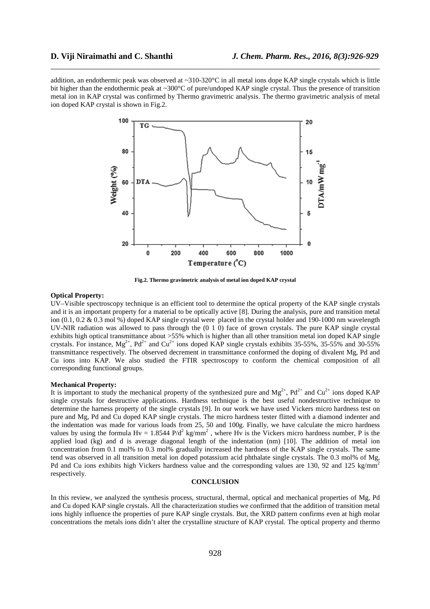addition, an endothermic peak was observed at ~310-320°C in all metal ions dope KAP single crystals which is little bit higher than the endothermic peak at ~300°C of pure/undoped KAP single crystal. Thus the presence of transition metal ion in KAP crystal was confirmed by Thermo gravimetric analysis. The thermo gravimetric analysis of metal ion doped KAP crystal is shown in Fig.2.

\_\_\_\_\_\_\_\_\_\_\_\_\_\_\_\_\_\_\_\_\_\_\_\_\_\_\_\_\_\_\_\_\_\_\_\_\_\_\_\_\_\_\_\_\_\_\_\_\_\_\_\_\_\_\_\_\_\_\_\_\_\_\_\_\_\_\_\_\_\_\_\_\_\_\_\_\_\_



**Fig.2. Thermo gravimetric analysis of metal ion doped KAP crystal** 

### **Optical Property:**

UV–Visible spectroscopy technique is an efficient tool to determine the optical property of the KAP single crystals and it is an important property for a material to be optically active [8]. During the analysis, pure and transition metal ion (0.1, 0.2 & 0.3 mol %) doped KAP single crystal were placed in the crystal holder and 190-1000 nm wavelength UV-NIR radiation was allowed to pass through the (0 1 0) face of grown crystals. The pure KAP single crystal exhibits high optical transmittance about >55% which is higher than all other transition metal ion doped KAP single crystals. For instance,  $Mg^{2+}$ , Pd<sup>2+</sup> and Cu<sup>2+</sup> ions doped KAP single crystals exhibits 35-55%, 35-55% and 30-55% transmittance respectively. The observed decrement in transmittance conformed the doping of divalent Mg, Pd and Cu ions into KAP. We also studied the FTIR spectroscopy to conform the chemical composition of all corresponding functional groups.

#### **Mechanical Property:**

It is important to study the mechanical property of the synthesized pure and  $Mg^{2+}$ ,  $Pd^{2+}$  and  $Cu^{2+}$  ions doped KAP single crystals for destructive applications. Hardness technique is the best useful nondestructive technique to determine the harness property of the single crystals [9]. In our work we have used Vickers micro hardness test on pure and Mg, Pd and Cu doped KAP single crystals. The micro hardness tester flitted with a diamond indenter and the indentation was made for various loads from 25, 50 and 100g. Finally, we have calculate the micro hardness values by using the formula  $Hv = 1.8544 \text{ P/d}^2 \text{ kg/mm}^2$ , where Hv is the Vickers micro hardness number, P is the applied load (kg) and d is average diagonal length of the indentation (nm) [10]. The addition of metal ion concentration from 0.1 mol% to 0.3 mol% gradually increased the hardness of the KAP single crystals. The same tend was observed in all transition metal ion doped potassium acid phthalate single crystals. The 0.3 mol% of Mg, Pd and Cu ions exhibits high Vickers hardness value and the corresponding values are 130, 92 and 125 kg/mm<sup>2</sup> respectively.

#### **CONCLUSION**

In this review, we analyzed the synthesis process, structural, thermal, optical and mechanical properties of Mg, Pd and Cu doped KAP single crystals. All the characterization studies we confirmed that the addition of transition metal ions highly influence the properties of pure KAP single crystals. But, the XRD pattern confirms even at high molar concentrations the metals ions didn't alter the crystalline structure of KAP crystal. The optical property and thermo